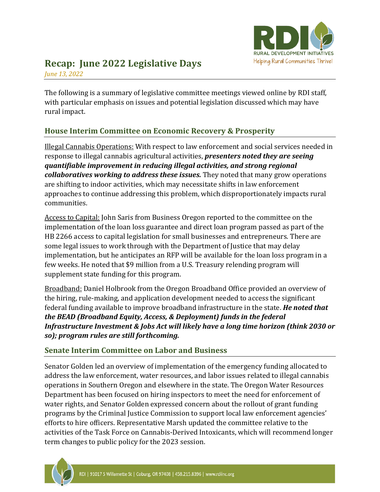

# **Recap: June 2022 Legislative Days**

*June 13, 2022*

The following is a summary of legislative committee meetings viewed online by RDI staff, with particular emphasis on issues and potential legislation discussed which may have rural impact.

# **House Interim Committee on Economic Recovery & Prosperity**

Illegal Cannabis Operations: With respect to law enforcement and social services needed in response to illegal cannabis agricultural activities, *presenters noted they are seeing quantifiable improvement in reducing illegal activities, and strong regional collaboratives working to address these issues.* They noted that many grow operations are shifting to indoor activities, which may necessitate shifts in law enforcement approaches to continue addressing this problem, which disproportionately impacts rural communities.

Access to Capital: John Saris from Business Oregon reported to the committee on the implementation of the loan loss guarantee and direct loan program passed as part of the HB 2266 access to capital legislation for small businesses and entrepreneurs. There are some legal issues to work through with the Department of Justice that may delay implementation, but he anticipates an RFP will be available for the loan loss program in a few weeks. He noted that \$9 million from a U.S. Treasury relending program will supplement state funding for this program.

Broadband: Daniel Holbrook from the Oregon Broadband Office provided an overview of the hiring, rule-making, and application development needed to access the significant federal funding available to improve broadband infrastructure in the state. *He noted that the BEAD (Broadband Equity, Access, & Deployment) funds in the federal Infrastructure Investment & Jobs Act will likely have a long time horizon (think 2030 or so); program rules are still forthcoming.*

# **Senate Interim Committee on Labor and Business**

Senator Golden led an overview of implementation of the emergency funding allocated to address the law enforcement, water resources, and labor issues related to illegal cannabis operations in Southern Oregon and elsewhere in the state. The Oregon Water Resources Department has been focused on hiring inspectors to meet the need for enforcement of water rights, and Senator Golden expressed concern about the rollout of grant funding programs by the Criminal Justice Commission to support local law enforcement agencies' efforts to hire officers. Representative Marsh updated the committee relative to the activities of the Task Force on Cannabis-Derived Intoxicants, which will recommend longer term changes to public policy for the 2023 session.

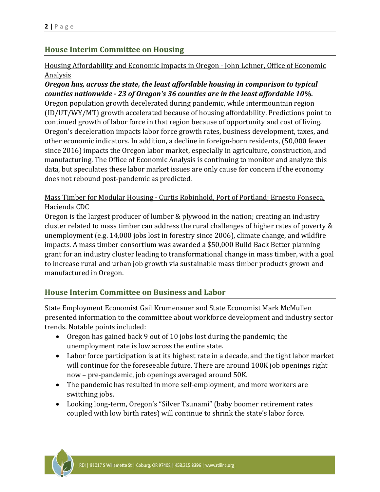# **House Interim Committee on Housing**

### Housing Affordability and Economic Impacts in Oregon - John Lehner, Office of Economic **Analysis**

### *Oregon has, across the state, the least affordable housing in comparison to typical counties nationwide - 23 of Oregon's 36 counties are in the least affordable 10%.* Oregon population growth decelerated during pandemic, while intermountain region

(ID/UT/WY/MT) growth accelerated because of housing affordability. Predictions point to continued growth of labor force in that region because of opportunity and cost of living. Oregon's deceleration impacts labor force growth rates, business development, taxes, and other economic indicators. In addition, a decline in foreign-born residents, (50,000 fewer since 2016) impacts the Oregon labor market, especially in agriculture, construction, and manufacturing. The Office of Economic Analysis is continuing to monitor and analyze this data, but speculates these labor market issues are only cause for concern if the economy does not rebound post-pandemic as predicted.

# Mass Timber for Modular Housing - Curtis Robinhold, Port of Portland; Ernesto Fonseca, Hacienda CDC

Oregon is the largest producer of lumber & plywood in the nation; creating an industry cluster related to mass timber can address the rural challenges of higher rates of poverty & unemployment (e.g. 14,000 jobs lost in forestry since 2006), climate change, and wildfire impacts. A mass timber consortium was awarded a \$50,000 Build Back Better planning grant for an industry cluster leading to transformational change in mass timber, with a goal to increase rural and urban job growth via sustainable mass timber products grown and manufactured in Oregon.

# **House Interim Committee on Business and Labor**

State Employment Economist Gail Krumenauer and State Economist Mark McMullen presented information to the committee about workforce development and industry sector trends. Notable points included:

- Oregon has gained back 9 out of 10 jobs lost during the pandemic; the unemployment rate is low across the entire state.
- Labor force participation is at its highest rate in a decade, and the tight labor market will continue for the foreseeable future. There are around 100K job openings right now – pre-pandemic, job openings averaged around 50K.
- The pandemic has resulted in more self-employment, and more workers are switching jobs.
- Looking long-term, Oregon's "Silver Tsunami" (baby boomer retirement rates coupled with low birth rates) will continue to shrink the state's labor force.

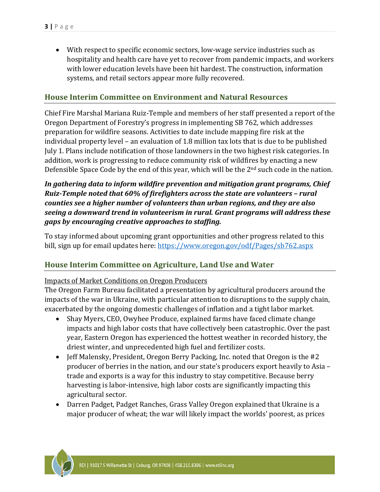• With respect to specific economic sectors, low-wage service industries such as hospitality and health care have yet to recover from pandemic impacts, and workers with lower education levels have been hit hardest. The construction, information systems, and retail sectors appear more fully recovered.

## **House Interim Committee on Environment and Natural Resources**

Chief Fire Marshal Mariana Ruiz-Temple and members of her staff presented a report of the Oregon Department of Forestry's progress in implementing SB 762, which addresses preparation for wildfire seasons. Activities to date include mapping fire risk at the individual property level – an evaluation of 1.8 million tax lots that is due to be published July 1. Plans include notification of those landowners in the two highest risk categories. In addition, work is progressing to reduce community risk of wildfires by enacting a new Defensible Space Code by the end of this year, which will be the 2nd such code in the nation.

## *In gathering data to inform wildfire prevention and mitigation grant programs, Chief Ruiz-Temple noted that 60% of firefighters across the state are volunteers – rural counties see a higher number of volunteers than urban regions, and they are also seeing a downward trend in volunteerism in rural. Grant programs will address these gaps by encouraging creative approaches to staffing.*

To stay informed about upcoming grant opportunities and other progress related to this bill, sign up for email updates here:<https://www.oregon.gov/odf/Pages/sb762.aspx>

## **House Interim Committee on Agriculture, Land Use and Water**

#### Impacts of Market Conditions on Oregon Producers

The Oregon Farm Bureau facilitated a presentation by agricultural producers around the impacts of the war in Ukraine, with particular attention to disruptions to the supply chain, exacerbated by the ongoing domestic challenges of inflation and a tight labor market.

- Shay Myers, CEO, Owyhee Produce, explained farms have faced climate change impacts and high labor costs that have collectively been catastrophic. Over the past year, Eastern Oregon has experienced the hottest weather in recorded history, the driest winter, and unprecedented high fuel and fertilizer costs.
- Jeff Malensky, President, Oregon Berry Packing, Inc. noted that Oregon is the #2 producer of berries in the nation, and our state's producers export heavily to Asia – trade and exports is a way for this industry to stay competitive. Because berry harvesting is labor-intensive, high labor costs are significantly impacting this agricultural sector.
- Darren Padget, Padget Ranches, Grass Valley Oregon explained that Ukraine is a major producer of wheat; the war will likely impact the worlds' poorest, as prices

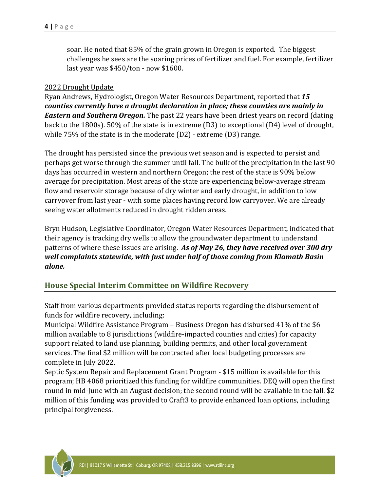soar. He noted that 85% of the grain grown in Oregon is exported. The biggest challenges he sees are the soaring prices of fertilizer and fuel. For example, fertilizer last year was \$450/ton - now \$1600.

#### 2022 Drought Update

Ryan Andrews, Hydrologist, Oregon Water Resources Department, reported that *15 counties currently have a drought declaration in place; these counties are mainly in Eastern and Southern Oregon.* The past 22 years have been driest years on record (dating back to the 1800s). 50% of the state is in extreme (D3) to exceptional (D4) level of drought, while 75% of the state is in the moderate (D2) - extreme (D3) range.

The drought has persisted since the previous wet season and is expected to persist and perhaps get worse through the summer until fall. The bulk of the precipitation in the last 90 days has occurred in western and northern Oregon; the rest of the state is 90% below average for precipitation. Most areas of the state are experiencing below-average stream flow and reservoir storage because of dry winter and early drought, in addition to low carryover from last year - with some places having record low carryover. We are already seeing water allotments reduced in drought ridden areas.

Bryn Hudson, Legislative Coordinator, Oregon Water Resources Department, indicated that their agency is tracking dry wells to allow the groundwater department to understand patterns of where these issues are arising. *As of May 26, they have received over 300 dry well complaints statewide, with just under half of those coming from Klamath Basin alone.*

#### **House Special Interim Committee on Wildfire Recovery**

Staff from various departments provided status reports regarding the disbursement of funds for wildfire recovery, including:

Municipal Wildfire Assistance Program – Business Oregon has disbursed 41% of the \$6 million available to 8 jurisdictions (wildfire-impacted counties and cities) for capacity support related to land use planning, building permits, and other local government services. The final \$2 million will be contracted after local budgeting processes are complete in July 2022.

Septic System Repair and Replacement Grant Program - \$15 million is available for this program; HB 4068 prioritized this funding for wildfire communities. DEQ will open the first round in mid-June with an August decision; the second round will be available in the fall. \$2 million of this funding was provided to Craft3 to provide enhanced loan options, including principal forgiveness.